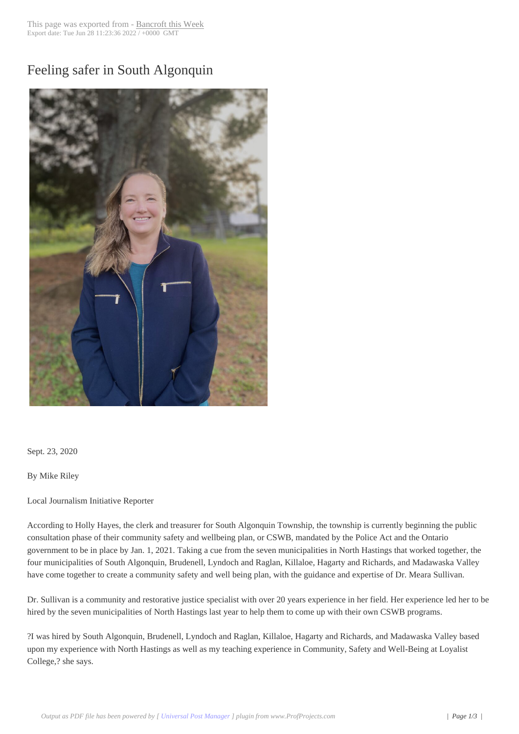## Feeling safer in So[uth Algonqui](http://www.bancroftthisweek.com/?p=10960)n



Sept. 23, 2020

By Mike Riley

Local Journalism Initiative Reporter

According to Holly Hayes, the clerk and treasurer for South Algonquin Township, the township is currently beginning the public consultation phase of their community safety and wellbeing plan, or CSWB, mandated by the Police Act and the Ontario government to be in place by Jan. 1, 2021. Taking a cue from the seven municipalities in North Hastings that worked together, the four municipalities of South Algonquin, Brudenell, Lyndoch and Raglan, Killaloe, Hagarty and Richards, and Madawaska Valley have come together to create a community safety and well being plan, with the guidance and expertise of Dr. Meara Sullivan.

Dr. Sullivan is a community and restorative justice specialist with over 20 years experience in her field. Her experience led her to be hired by the seven municipalities of North Hastings last year to help them to come up with their own CSWB programs.

?I was hired by South Algonquin, Brudenell, Lyndoch and Raglan, Killaloe, Hagarty and Richards, and Madawaska Valley based upon my experience with North Hastings as well as my teaching experience in Community, Safety and Well-Being at Loyalist College,? she says.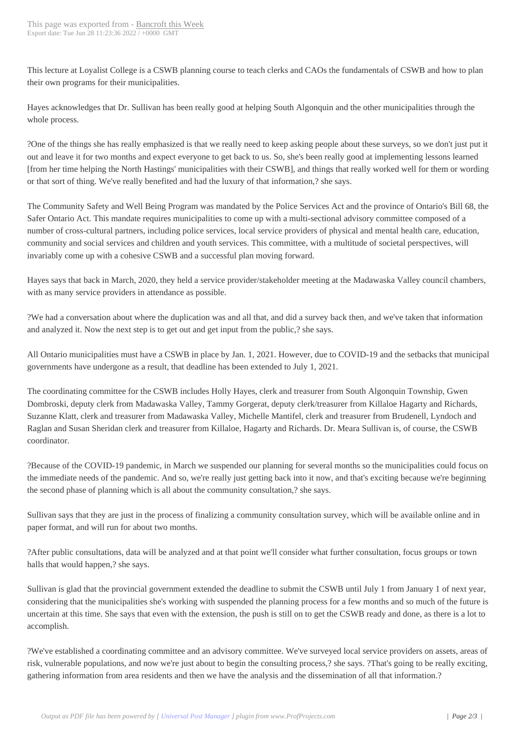This lecture at Loyalist Colleg[e is a CSWB plannin](http://www.bancroftthisweek.com/?p=10960)g course to teach clerks and CAOs the fundamentals of CSWB and how to plan their own programs for their municipalities.

Hayes acknowledges that Dr. Sullivan has been really good at helping South Algonquin and the other municipalities through the whole process.

?One of the things she has really emphasized is that we really need to keep asking people about these surveys, so we don't just put it out and leave it for two months and expect everyone to get back to us. So, she's been really good at implementing lessons learned [from her time helping the North Hastings' municipalities with their CSWB], and things that really worked well for them or wording or that sort of thing. We've really benefited and had the luxury of that information,? she says.

The Community Safety and Well Being Program was mandated by the Police Services Act and the province of Ontario's Bill 68, the Safer Ontario Act. This mandate requires municipalities to come up with a multi-sectional advisory committee composed of a number of cross-cultural partners, including police services, local service providers of physical and mental health care, education, community and social services and children and youth services. This committee, with a multitude of societal perspectives, will invariably come up with a cohesive CSWB and a successful plan moving forward.

Hayes says that back in March, 2020, they held a service provider/stakeholder meeting at the Madawaska Valley council chambers, with as many service providers in attendance as possible.

?We had a conversation about where the duplication was and all that, and did a survey back then, and we've taken that information and analyzed it. Now the next step is to get out and get input from the public,? she says.

All Ontario municipalities must have a CSWB in place by Jan. 1, 2021. However, due to COVID-19 and the setbacks that municipal governments have undergone as a result, that deadline has been extended to July 1, 2021.

The coordinating committee for the CSWB includes Holly Hayes, clerk and treasurer from South Algonquin Township, Gwen Dombroski, deputy clerk from Madawaska Valley, Tammy Gorgerat, deputy clerk/treasurer from Killaloe Hagarty and Richards, Suzanne Klatt, clerk and treasurer from Madawaska Valley, Michelle Mantifel, clerk and treasurer from Brudenell, Lyndoch and Raglan and Susan Sheridan clerk and treasurer from Killaloe, Hagarty and Richards. Dr. Meara Sullivan is, of course, the CSWB coordinator.

?Because of the COVID-19 pandemic, in March we suspended our planning for several months so the municipalities could focus on the immediate needs of the pandemic. And so, we're really just getting back into it now, and that's exciting because we're beginning the second phase of planning which is all about the community consultation,? she says.

Sullivan says that they are just in the process of finalizing a community consultation survey, which will be available online and in paper format, and will run for about two months.

?After public consultations, data will be analyzed and at that point we'll consider what further consultation, focus groups or town halls that would happen,? she says.

Sullivan is glad that the provincial government extended the deadline to submit the CSWB until July 1 from January 1 of next year, considering that the municipalities she's working with suspended the planning process for a few months and so much of the future is uncertain at this time. She says that even with the extension, the push is still on to get the CSWB ready and done, as there is a lot to accomplish.

?We've established a coordinating committee and an advisory committee. We've surveyed local service providers on assets, areas of risk, vulnerable populations, and now we're just about to begin the consulting process,? she says. ?That's going to be really exciting, gathering information from area residents and then we have the analysis and the dissemination of all that information.?